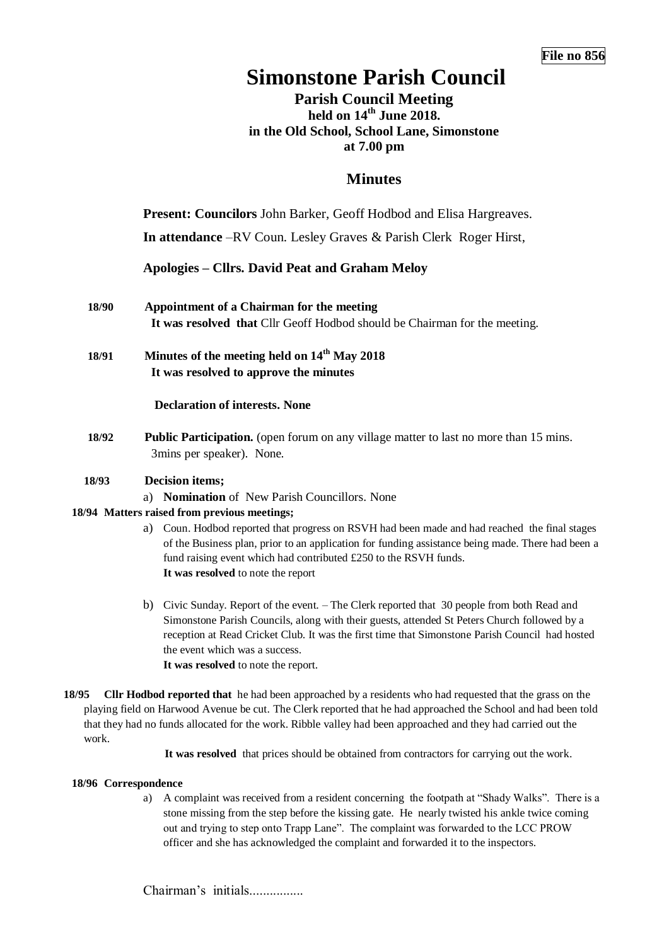# **Simonstone Parish Council**

**Parish Council Meeting held on 14th June 2018. in the Old School, School Lane, Simonstone at 7.00 pm**

## **Minutes**

**Present: Councilors** John Barker, Geoff Hodbod and Elisa Hargreaves.

**In attendance** –RV Coun. Lesley Graves & Parish Clerk Roger Hirst,

**Apologies – Cllrs. David Peat and Graham Meloy**

- **18/90 Appointment of a Chairman for the meeting It was resolved that** Cllr Geoff Hodbod should be Chairman for the meeting.
- **18/91 Minutes of the meeting held on 14th May 2018 It was resolved to approve the minutes**

#### **Declaration of interests. None**

**18/92 Public Participation.** (open forum on any village matter to last no more than 15 mins. 3mins per speaker). None.

#### **18/93 Decision items;**

a) **Nomination** of New Parish Councillors. None

#### **18/94 Matters raised from previous meetings;**

- a) Coun. Hodbod reported that progress on RSVH had been made and had reached the final stages of the Business plan, prior to an application for funding assistance being made. There had been a fund raising event which had contributed £250 to the RSVH funds. **It was resolved** to note the report
- b) Civic Sunday. Report of the event. The Clerk reported that 30 people from both Read and Simonstone Parish Councils, along with their guests, attended St Peters Church followed by a reception at Read Cricket Club. It was the first time that Simonstone Parish Council had hosted the event which was a success. **It was resolved** to note the report.
- **18/95 Cllr Hodbod reported that** he had been approached by a residents who had requested that the grass on the playing field on Harwood Avenue be cut. The Clerk reported that he had approached the School and had been told that they had no funds allocated for the work. Ribble valley had been approached and they had carried out the work.

**It was resolved** that prices should be obtained from contractors for carrying out the work.

#### **18/96 Correspondence**

a) A complaint was received from a resident concerning the footpath at "Shady Walks". There is a stone missing from the step before the kissing gate. He nearly twisted his ankle twice coming out and trying to step onto Trapp Lane". The complaint was forwarded to the LCC PROW officer and she has acknowledged the complaint and forwarded it to the inspectors.

Chairman's initials................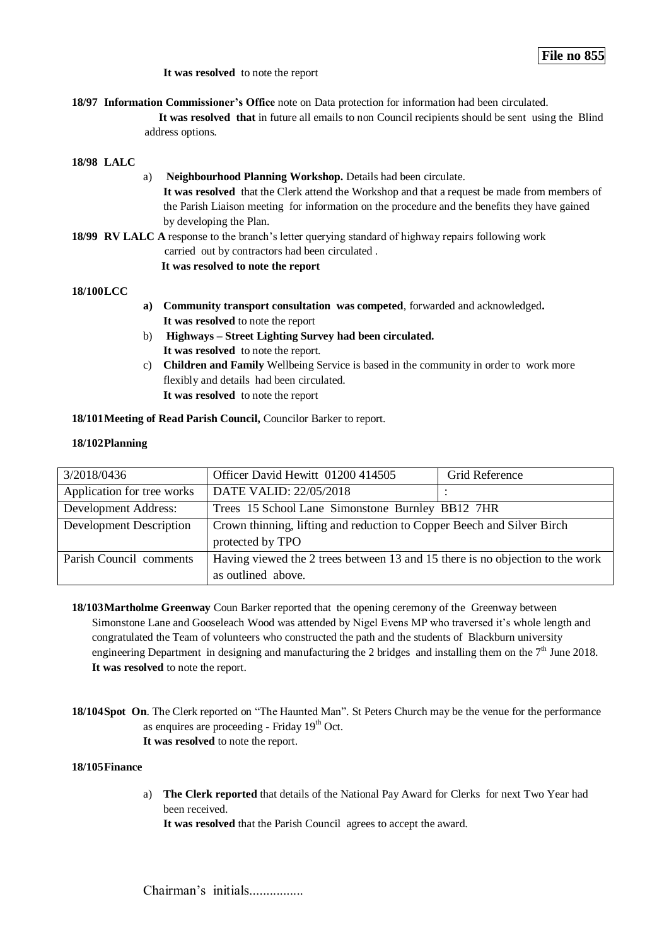**It was resolved** to note the report

**18/97 Information Commissioner's Office** note on Data protection for information had been circulated.

 **It was resolved that** in future all emails to non Council recipients should be sent using the Blind address options.

#### **18/98 LALC**

a) **Neighbourhood Planning Workshop.** Details had been circulate. **It was resolved** that the Clerk attend the Workshop and that a request be made from members of the Parish Liaison meeting for information on the procedure and the benefits they have gained by developing the Plan.

**18/99 RV LALC A** response to the branch's letter querying standard of highway repairs following work carried out by contractors had been circulated .  **It was resolved to note the report** 

#### **18/100LCC**

- **a) Community transport consultation was competed**, forwarded and acknowledged**. It was resolved** to note the report
- b) **Highways – Street Lighting Survey had been circulated. It was resolved** to note the report.
- c) **Children and Family** Wellbeing Service is based in the community in order to work more flexibly and details had been circulated. **It was resolved** to note the report

**18/101Meeting of Read Parish Council,** Councilor Barker to report.

#### **18/102Planning**

| 3/2018/0436                    | Officer David Hewitt 01200 414505                                             | Grid Reference |
|--------------------------------|-------------------------------------------------------------------------------|----------------|
| Application for tree works     | DATE VALID: 22/05/2018                                                        |                |
| Development Address:           | Trees 15 School Lane Simonstone Burnley BB12 7HR                              |                |
| <b>Development Description</b> | Crown thinning, lifting and reduction to Copper Beech and Silver Birch        |                |
|                                | protected by TPO                                                              |                |
| Parish Council comments        | Having viewed the 2 trees between 13 and 15 there is no objection to the work |                |
|                                | as outlined above.                                                            |                |

- **18/103Martholme Greenway** Coun Barker reported that the opening ceremony of the Greenway between Simonstone Lane and Gooseleach Wood was attended by Nigel Evens MP who traversed it's whole length and congratulated the Team of volunteers who constructed the path and the students of Blackburn university engineering Department in designing and manufacturing the 2 bridges and installing them on the 7<sup>th</sup> June 2018. **It was resolved** to note the report.
- **18/104Spot On**. The Clerk reported on "The Haunted Man". St Peters Church may be the venue for the performance as enquires are proceeding - Friday 19<sup>th</sup> Oct. **It was resolved** to note the report.

#### **18/105Finance**

a) **The Clerk reported** that details of the National Pay Award for Clerks for next Two Year had been received.

**It was resolved** that the Parish Council agrees to accept the award.

Chairman's initials.................